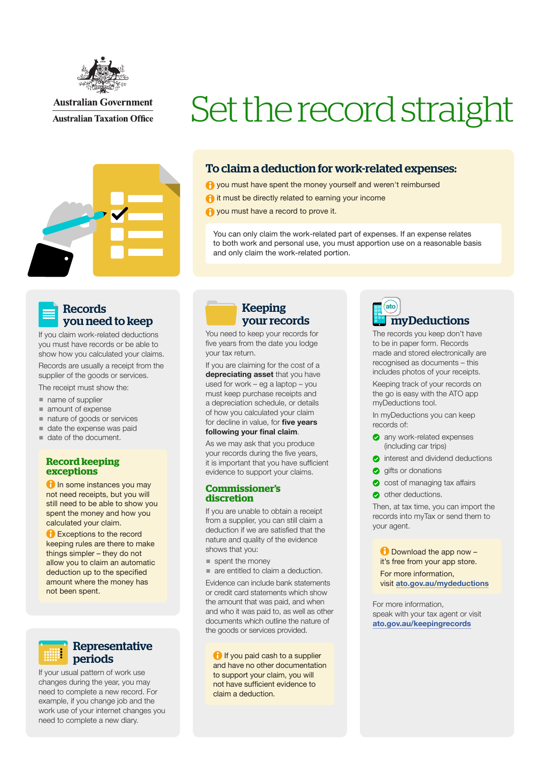

**Australian Government Australian Taxation Office** 



# Set the record straight

### To claim a deduction for work-related expenses:

**A** you must have spent the money yourself and weren't reimbursed

**a** it must be directly related to earning your income

**A** you must have a record to prove it.

You can only claim the work-related part of expenses. If an expense relates to both work and personal use, you must apportion use on a reasonable basis and only claim the work-related portion.

### Records you need to keep

If you claim work-related deductions you must have records or be able to show how you calculated your claims.

Records are usually a receipt from the supplier of the goods or services.

The receipt must show the:

- name of supplier
- amount of expense
- nature of goods or services
- date the expense was paid
- date of the document.

### **Record keeping exceptions**

**f** In some instances you may not need receipts, but you will still need to be able to show you spent the money and how you calculated your claim.

**B** Exceptions to the record keeping rules are there to make things simpler – they do not allow you to claim an automatic deduction up to the specified amount where the money has not been spent.

Representative periods

If your usual pattern of work use changes during the year, you may need to complete a new record. For example, if you change job and the work use of your internet changes you need to complete a new diary.

### Keeping your records

You need to keep your records for five years from the date you lodge your tax return.

If you are claiming for the cost of a depreciating asset that you have used for work – eg a laptop – you must keep purchase receipts and a depreciation schedule, or details of how you calculated your claim for decline in value, for five years following your final claim.

As we may ask that you produce your records during the five years, it is important that you have sufficient evidence to support your claims.

### **Commissioner's discretion**

If you are unable to obtain a receipt from a supplier, you can still claim a deduction if we are satisfied that the nature and quality of the evidence shows that you:

spent the money

■ are entitled to claim a deduction.

Evidence can include bank statements or credit card statements which show the amount that was paid, and when and who it was paid to, as well as other documents which outline the nature of the goods or services provided.

**if** you paid cash to a supplier and have no other documentation to support your claim, you will not have sufficient evidence to claim a deduction.



The records you keep don't have to be in paper form. Records made and stored electronically are recognised as documents – this includes photos of your receipts.

Keeping track of your records on the go is easy with the ATO app myDeductions tool.

In myDeductions you can keep records of:

- **any work-related expenses** (including car trips)
- completed interest and dividend deductions
- **g** gifts or donations
- cost of managing tax affairs
- other deductions.

Then, at tax time, you can import the records into myTax or send them to your agent.

**D** Download the app now it's free from your app store. For more information, visit [ato.gov.au/mydeductions](http://ato.gov.au/mydeductions)

For more information, speak with your tax agent or visit [ato.gov.au/keepingrecords](http://ato.gov.au/keepingrecords)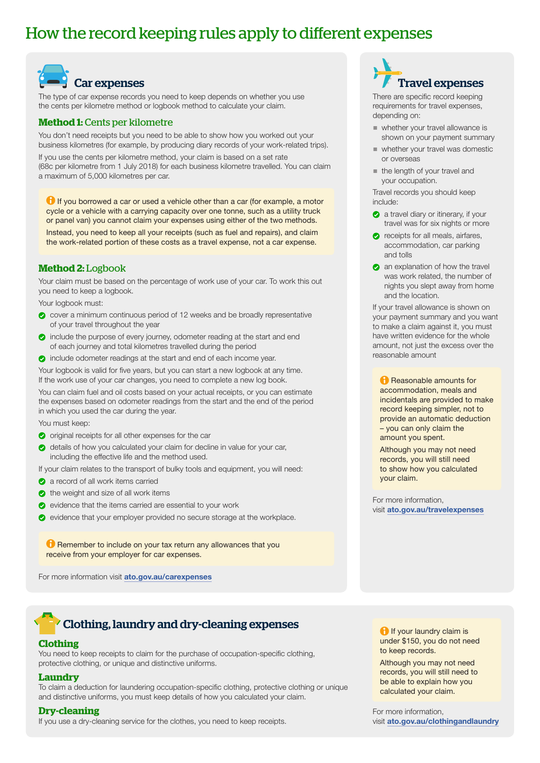## How the record keeping rules apply to different expenses



The type of car expense records you need to keep depends on whether you use the cents per kilometre method or logbook method to calculate your claim.

### **Method 1:** Cents per kilometre

You don't need receipts but you need to be able to show how you worked out your business kilometres (for example, by producing diary records of your work-related trips).

If you use the cents per kilometre method, your claim is based on a set rate (68c per kilometre from 1 July 2018) for each business kilometre travelled. You can claim a maximum of 5,000 kilometres per car.

**If** you borrowed a car or used a vehicle other than a car (for example, a motor cycle or a vehicle with a carrying capacity over one tonne, such as a utility truck or panel van) you cannot claim your expenses using either of the two methods. Instead, you need to keep all your receipts (such as fuel and repairs), and claim the work-related portion of these costs as a travel expense, not a car expense.

### **Method 2:** Logbook

Your claim must be based on the percentage of work use of your car. To work this out you need to keep a logbook.

Your logbook must:

- cover a minimum continuous period of 12 weeks and be broadly representative of your travel throughout the year
- co include the purpose of every journey, odometer reading at the start and end of each journey and total kilometres travelled during the period
- **O** include odometer readings at the start and end of each income year.

Your logbook is valid for five years, but you can start a new logbook at any time. If the work use of your car changes, you need to complete a new log book.

You can claim fuel and oil costs based on your actual receipts, or you can estimate the expenses based on odometer readings from the start and the end of the period in which you used the car during the year.

You must keep:

- $\bullet$  original receipts for all other expenses for the car
- details of how you calculated your claim for decline in value for your car, including the effective life and the method used.

If your claim relates to the transport of bulky tools and equipment, you will need:

- **a** a record of all work items carried
- $\bullet$  the weight and size of all work items
- $\bullet$  evidence that the items carried are essential to your work
- c evidence that your employer provided no secure storage at the workplace.

**C** Remember to include on your tax return any allowances that you receive from your employer for car expenses.

For more information visit [ato.gov.au/carexpenses](http://ato.gov.au/carexpenses)

## Clothing, laundry and dry-cleaning expenses

### **Clothing**

You need to keep receipts to claim for the purchase of occupation-specific clothing. protective clothing, or unique and distinctive uniforms.

### **Laundry**

To claim a deduction for laundering occupation-specific clothing, protective clothing or unique and distinctive uniforms, you must keep details of how you calculated your claim.

### **Dry-cleaning**

If you use a dry-cleaning service for the clothes, you need to keep receipts.

## Travel expenses

There are specific record keeping requirements for travel expenses, depending on:

- whether your travel allowance is shown on your payment summary
- whether your travel was domestic or overseas
- the length of your travel and your occupation.

Travel records you should keep include:

- **a** a travel diary or itinerary, if your travel was for six nights or more
- $\bullet$  receipts for all meals, airfares, accommodation, car parking and tolls
- **an** explanation of how the travel was work related, the number of nights you slept away from home and the location.

If your travel allowance is shown on your payment summary and you want to make a claim against it, you must have written evidence for the whole amount, not just the excess over the reasonable amount

**Reasonable amounts for** accommodation, meals and incidentals are provided to make record keeping simpler, not to provide an automatic deduction – you can only claim the amount you spent.

Although you may not need records, you will still need to show how you calculated your claim.

For more information, visit [ato.gov.au/travelexpenses](http://ato.gov.au/travelexpenses)

**f** If your laundry claim is under \$150, you do not need to keep records.

Although you may not need records, you will still need to be able to explain how you calculated your claim.

For more information, visit [ato.gov.au/clothingandlaundry](http://ato.gov.au/clothingandlaundry)